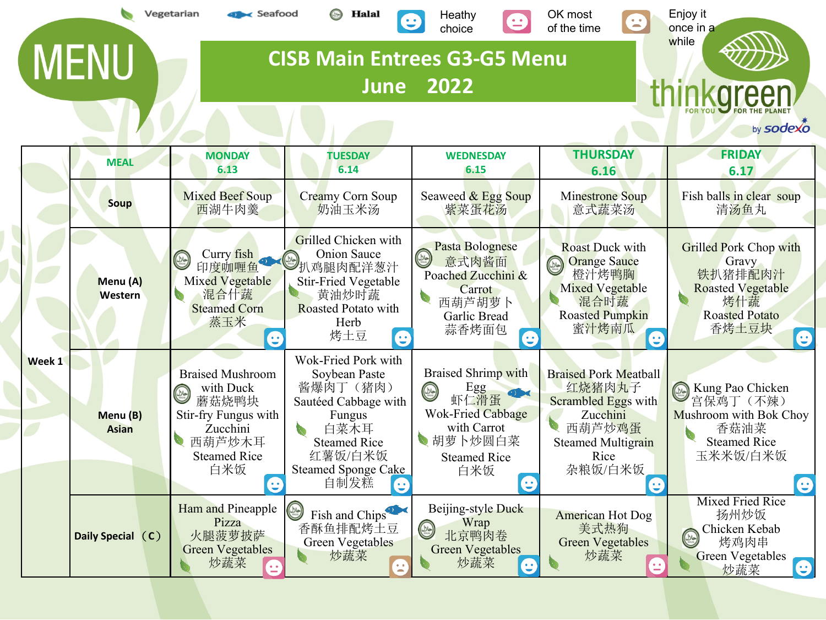|        |                          | Vegetarian<br>seafood                                                                                                               | Halal                                                                                                                                                              | Heathy<br>choice                                                                                                                                       | OK most<br>$\mathbf{L}$<br>of the time                                                                                                          | Enjoy it<br>once in a<br>while                                                                                              |
|--------|--------------------------|-------------------------------------------------------------------------------------------------------------------------------------|--------------------------------------------------------------------------------------------------------------------------------------------------------------------|--------------------------------------------------------------------------------------------------------------------------------------------------------|-------------------------------------------------------------------------------------------------------------------------------------------------|-----------------------------------------------------------------------------------------------------------------------------|
|        | <b>MENU</b>              |                                                                                                                                     | <b>June</b>                                                                                                                                                        | <b>CISB Main Entrees G3-G5 Menu</b><br>2022                                                                                                            |                                                                                                                                                 |                                                                                                                             |
|        |                          |                                                                                                                                     |                                                                                                                                                                    |                                                                                                                                                        |                                                                                                                                                 | by sodexo                                                                                                                   |
|        | <b>MEAL</b>              | <b>MONDAY</b><br>6.13                                                                                                               | <b>TUESDAY</b><br>6.14                                                                                                                                             | <b>WEDNESDAY</b><br>6.15                                                                                                                               | <b>THURSDAY</b><br>6.16                                                                                                                         | <b>FRIDAY</b><br>6.17                                                                                                       |
|        | <b>Soup</b>              | <b>Mixed Beef Soup</b><br>西湖牛肉羹                                                                                                     | Creamy Corn Soup<br>奶油玉米汤                                                                                                                                          | Seaweed & Egg Soup<br>紫菜蛋花汤                                                                                                                            | Minestrone Soup<br>意式蔬菜汤                                                                                                                        | Fish balls in clear soup<br>清汤鱼丸                                                                                            |
|        | Menu (A)<br>Western      | Curry fish<br>C<br>印度咖喱鱼<br>Mixed Vegetable<br>混合什蔬<br>$\mathcal{L}_{\mathcal{A}}$<br><b>Steamed Corn</b><br>蒸玉米<br>e               | Grilled Chicken with<br><b>Onion Sauce</b><br>扒鸡腿肉配洋葱汁<br><b>Stir-Fried Vegetable</b><br>黄油炒时蔬<br>Roasted Potato with<br>Herb<br>烤土豆<br>$\boldsymbol{\Theta}$      | Pasta Bolognese<br>$\circledcirc$<br>意式肉酱面<br>Poached Zucchini &<br>Carrot<br>西葫芦胡萝卜<br>Garlic Bread<br>蒜香烤面包<br>e                                     | <b>Roast Duck with</b><br><b>Orange Sauce</b><br>$\circledR$<br>橙汁烤鸭胸<br><b>Mixed Vegetable</b><br>混合时蔬<br><b>Roasted Pumpkin</b><br>蜜汁烤南瓜<br>G | <b>Grilled Pork Chop with</b><br>Gravy<br>铁扒猪排配肉汁<br><b>Roasted Vegetable</b><br>烤什蔬<br><b>Roasted Potato</b><br>香烤土豆块<br>e |
| Week 1 | Menu (B)<br><b>Asian</b> | <b>Braised Mushroom</b><br>with Duck<br>C<br>蘑菇烧鸭块<br>Stir-fry Fungus with<br>Zucchini<br>西葫芦炒木耳<br><b>Steamed Rice</b><br>白米饭<br>e | Wok-Fried Pork with<br>Soybean Paste<br>酱爆肉丁(猪肉)<br>Sautéed Cabbage with<br>Fungus<br>白菜木耳<br><b>Steamed Rice</b><br>红薯饭/白米饭<br><b>Steamed Sponge Cake</b><br>自制发糕 | <b>Braised Shrimp with</b><br>Egg<br>虾仁滑蛋<br>$\circledcirc$<br><b>Wok-Fried Cabbage</b><br>with Carrot<br>● 胡萝卜炒圆白菜<br><b>Steamed Rice</b><br>白米饭<br>Ξ | <b>Braised Pork Meatball</b><br>红烧猪肉丸子<br>Scrambled Eggs with<br>Zucchini<br>西葫芦炒鸡蛋<br><b>Steamed Multigrain</b><br>Rice<br>杂粮饭/白米饭<br>e        | Kung Pao Chicken<br>$(\omega)$<br>宫保鸡丁 (不辣)<br>Mushroom with Bok Choy<br>香菇油菜<br><b>Steamed Rice</b><br>玉米米饭/白米饭<br>e       |
|        | Daily Special (C)        | Ham and Pineapple<br>Pizza<br>火腿菠萝披萨<br><b>Green Vegetables</b><br>炒蔬菜                                                              | $\circledcirc$<br>Fish and Chips <sup>22</sup><br>香酥鱼排配烤土豆<br><b>Green Vegetables</b><br>炒蔬菜                                                                       | Beijing-style Duck<br>Wrap<br>$\begin{pmatrix} \omega & \omega \ \end{pmatrix}$<br>北京鸭肉卷<br><b>Green Vegetables</b><br>炒蔬菜<br>e                        | <b>American Hot Dog</b><br>美式热狗<br><b>Green Vegetables</b><br>炒蔬菜<br>Ξ                                                                          | <b>Mixed Fried Rice</b><br>扬州炒饭<br>Chicken Kebab<br>$\circledcirc$<br>烤鸡肉串<br><b>Green Vegetables</b><br>e<br>炒蔬菜           |